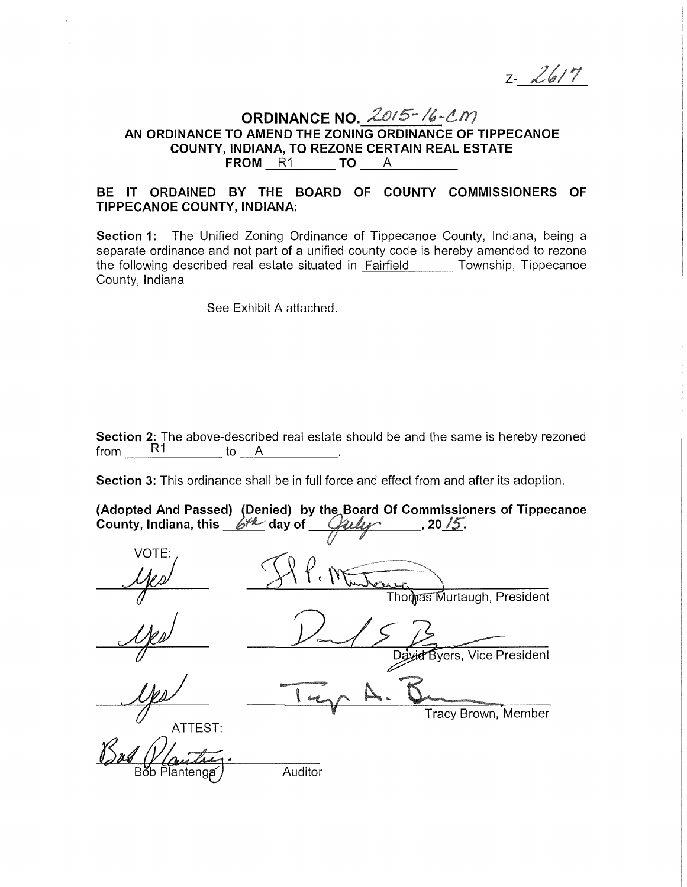$2 - 2617$ 

# **ORDINANCE NO.**  $\frac{2015 - 16 - 201}{10}$ <br>AN ORDINANCE TO AMEND THE ZONING ORDINANCE OF TIPPECANOE **COUNTY, INDIANA, TO REZONE CERTAIN REAL ESTATE FROM R1 TO A**

# **BE IT ORDAINED BY THE BOARD OF COUNTY COMMISSIONERS OF TIPPECANOE COUNTY, INDIANA:**

**Section 1:** The Unified Zoning Ordinance of Tippecanoe County, Indiana, being a separate ordinance and not part of a unified county code is hereby amended to rezone the following described real estate situated in **Fairfield** Township, Tippecanoe County, Indiana

See Exhibit A attached.

**Section 2:** The above-described real estate should be and the same is hereby rezoned from \_\_\_\_\_\_\_\_\_\_\_\_ to \_\_\_\_\_\_\_\_\_\_\_\_.  $\begin{array}{ccc} \hline \end{array}$  to  $\begin{array}{ccc} A & \hline \end{array}$ .

**Section 3:** This ordinance shall be in full force and effect from and after its adoption.

| County, Indiana, this $6^{1/2}$ day of | (Adopted And Passed) (Denied) by the Board Of Commissioners of Tippecanoe<br>, 20/5. |  |
|----------------------------------------|--------------------------------------------------------------------------------------|--|
| VOTE:                                  |                                                                                      |  |
|                                        |                                                                                      |  |
|                                        | Thomas Murtaugh, President                                                           |  |
|                                        |                                                                                      |  |
|                                        | Byers, Vice President<br>Davier                                                      |  |
|                                        |                                                                                      |  |
| ATTEST:                                | Tracy Brown, Member                                                                  |  |
|                                        | Auditor                                                                              |  |
| Bob Plantenga                          |                                                                                      |  |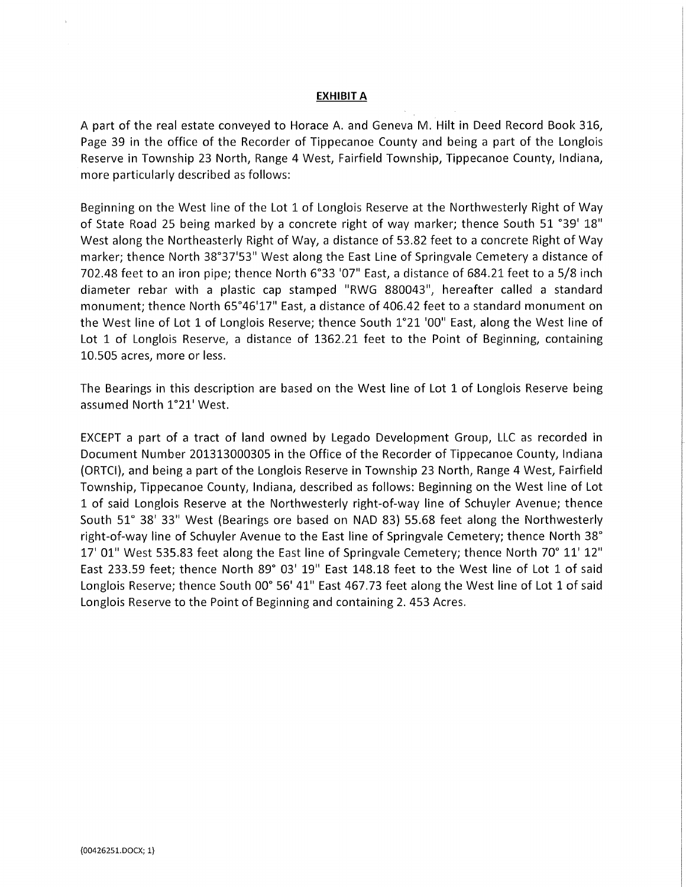#### **EXHIBIT A**

A part of the real estate conveyed to Horace A. and Geneva M. Hilt in Deed Record Book 316, Page 39 in the office of the Recorder of Tippecanoe County and being a part of the Longlois Reserve in Township 23 North, Range 4 West, Fairfield Township, Tippecanoe County, Indiana, more particularly described as follows:

Beginning on the West line of the Lot 1 of Longlois Reserve at the Northwesterly Right of Way of State Road 25 being marked by a concrete right of way marker; thence South 51 °39' 18" West along the Northeasterly Right of Way, a distance of 53.82 feet to a concrete Right of Way marker; thence North 38°37'53" West along the East Line of Springvale Cemetery a distance of 702.48 feet to an iron pipe; thence North 6°33 '07" East, a distance of 684.21 feet to a 5/8 inch diameter rebar with a plastic cap stamped "RWG 880043", hereafter called a standard monument; thence North 65°46'17" East, a distance of 406.42 feet to a standard monument on the West line of Lot 1 of Longlois Reserve; thence South 1°21 '00" East, along the West line of Lot 1 of Longlois Reserve, a distance of 1362.21 feet to the Point of Beginning, containing 10.505 acres, more or less.

The Bearings in this description are based on the West line of Lot 1 of Longlois Reserve being assumed North 1°21' West.

EXCEPT a part of a tract of land owned by Legado Development Group, LLC as recorded in Document Number 201313000305 in the Office of the Recorder of Tippecanoe County, Indiana (ORTCI), and being a part of the Longlois Reserve in Township 23 North, Range 4 West, Fairfield Township, Tippecanoe County, Indiana, described as follows: Beginning on the West line of Lot 1 of said Langlois Reserve at the Northwesterly right-of-way line of Schuyler Avenue; thence South 51° 38' 33" West (Bearings ore based on NAO 83} 55.68 feet along the Northwesterly right-of-way line of Schuyler Avenue to the East line of Springvale Cemetery; thence North 38° 17' 01" West 535.83 feet along the East line of Springvale Cemetery; thence North 70° 11' 12" East 233.59 feet; thence North 89° 03' 19" East 148.18 feet to the West line of Lot 1 of said Longlois Reserve; thence South 00° 56' 41" East 467.73 feet along the West line of Lot 1 of said Longlois Reserve to the Point of Beginning and containing 2.453 Acres.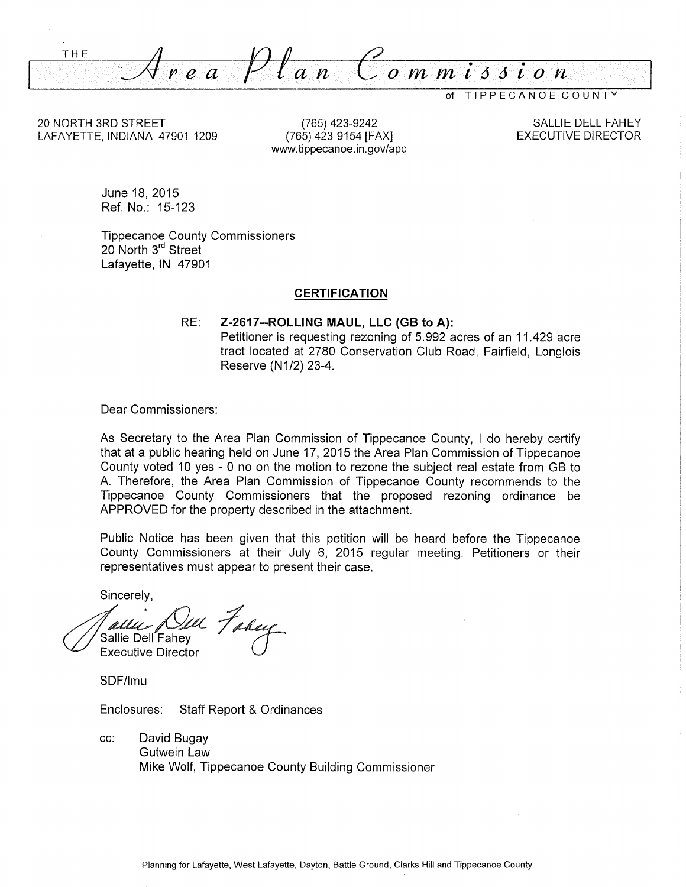THE .. :\_\_\_;.(/: I" *e a* Pf *an C-ommi66ion* 

of TIPPECANOE COUNTY

20 NORTH 3RD STREET LAFAYETTE, INDIANA 47901-1209

(765) 423-9242 (765) 423-9154 [FAX] www.tippecanoe.in.gov/ape

SALLIE DELL FAHEY EXECUTIVE DIRECTOR

June 18, 2015 Ref. No.: 15-123

Tippecanoe County Commissioners 20 North 3<sup>rd</sup> Street Lafayette, IN 47901

#### **CERTIFICATION**

RE: **Z-2617--ROLLING MAUL, LLC (GB to A):**  Petitioner is requesting rezoning of 5.992 acres of an 11.429 acre tract located at 2780 Conservation Club Road, Fairfield, Langlois Reserve (N1/2) 23-4.

Dear Commissioners:

As Secretary to the Area Plan Commission of Tippecanoe County, I do hereby certify that at a public hearing held on June 17, 2015 the Area Plan Commission of Tippecanoe County voted 10 yes - 0 no on the motion to rezone the subject real estate from GB to A Therefore, the Area Plan Commission of Tippecanoe County recommends to the Tippecanoe County Commissioners that the proposed rezoning ordinance be APPROVED for the property described in the attachment.

Public Notice has been given that this petition will be heard before the Tippecanoe County Commissioners at their July 6, 2015 regular meeting. Petitioners or their representatives must appear to present their case.

Sincerely,

media *(ULL Takey*<br>Sallie Dell Fahey<br>Executive Director

SDF/lmu

Enclosures: Staff Report & Ordinances

cc: David Bugay Gutwein Law Mike Wolf, Tippecanoe County Building Commissioner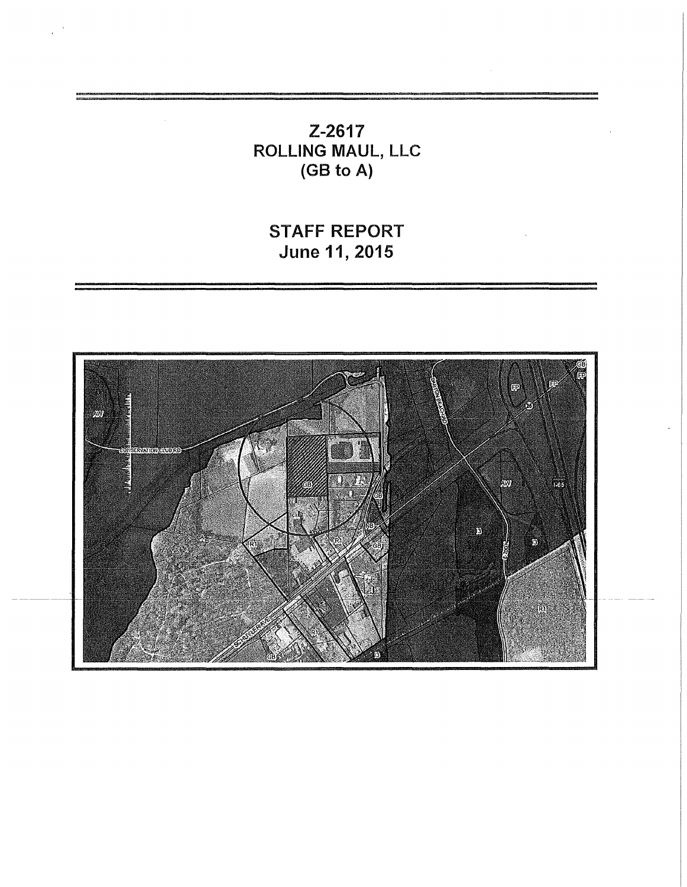Z-2617 ROLLING MAUL, LLC (GB to A)

STAFF REPORT June 11, 2015

 $\hat{\boldsymbol{\beta}}$ 

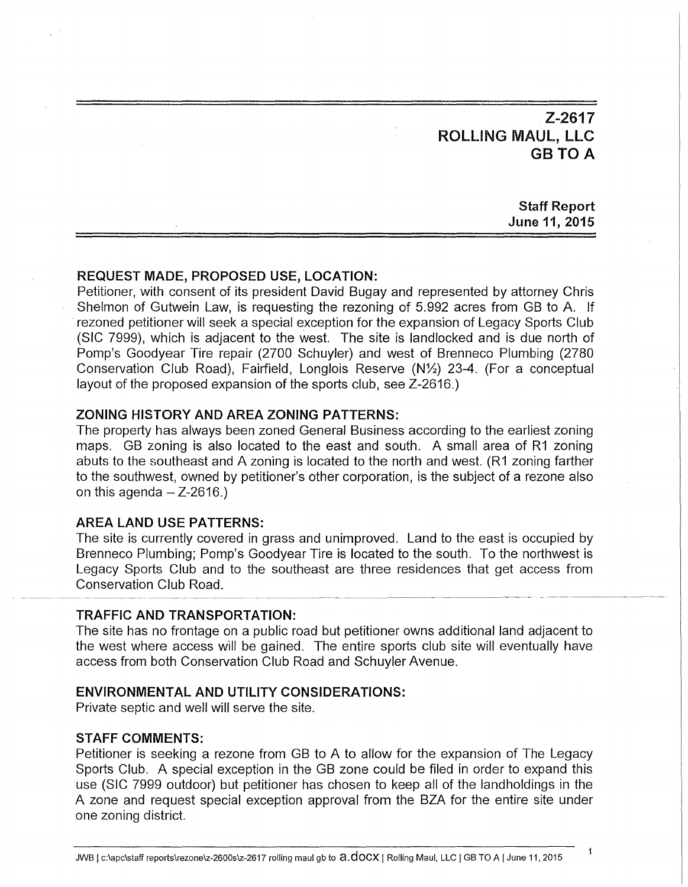Z-2617 ROLLING MAUL, LLC **GB TO A** 

# Staff Report June 11, 2015

# REQUEST MADE, PROPOSED USE, LOCATION:

Petitioner, with consent of its president David Bugay and represented by attorney Chris Shelmon of Gutwein Law, is requesting the rezoning of 5.992 acres from GB to A. If rezoned petitioner will seek a special exception for the expansion of Legacy Sports Club (SIC 7999), which is adjacent to the west. The site is landlocked and is due north of Pomp's Goodyear Tire repair (2700 Schuyler) and west of Brenneco Plumbing (2780 Conservation Club Road), Fairfield, Longlois Reserve (N1/2) 23-4. (For a conceptual layout of the proposed expansion of the sports club, see Z-2616.)

## ZONING HISTORY AND AREA ZONING PATTERNS:

The property has always been zoned General Business according to the earliest zoning maps. GB zoning is also located to the east and south. A small area of R1 zoning abuts to the southeast and A zoning is located to the north and west. (R1 zoning farther to the southwest, owned by petitioner's other corporation, is the subject of a rezone also on this agenda  $-$  Z-2616.)

# AREA LAND USE PATTERNS:

The site is currently covered in grass and unimproved. Land to the east is occupied by Brenneco Plumbing; Pomp's Goodyear Tire is located to the south. To the northwest is Legacy Sports Club and to the southeast are three residences that get access from  $\begin{array}{r} \text{Conservation Club Road.} \end{array}$ 

## TRAFFIC AND TRANSPORTATION:

The site has no frontage on a public road but petitioner owns additional land adjacent to the west where access will be gained. The entire sports club site will eventually have access from both Conservation Club Road and Schuyler Avenue.

#### ENVIRONMENTAL AND UTILITY CONSIDERATIONS:

Private septic and well will serve the site.

# STAFF COMMENTS:

Petitioner is seeking a rezone from GB to A to allow for the expansion of The Legacy Sports Club. A special exception in the GB zone could be filed in order to expand this use (SIC 7999 outdoor) but petitioner has chosen to keep all of the landholdings in the A zone and request special exception approval from the BZA for the entire site under one zoning district.

1